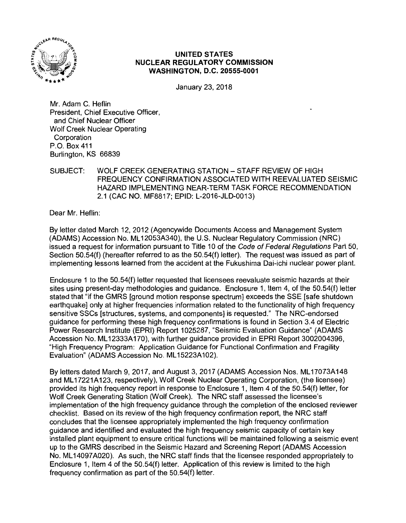

# **UNITED STATES NUCLEAR REGULATORY COMMISSION WASHINGTON, D.C. 20555-0001**

January 23, 2018

Mr. Adam C. Heflin President, Chief Executive Officer, and Chief Nuclear Officer Wolf Creek Nuclear Operating Corporation P.O.Box411 Burlington, KS 66839

### SUBJECT: WOLF CREEK GENERATING STATION-STAFF REVIEW OF HIGH FREQUENCY CONFIRMATION ASSOCIATED WITH REEVALUATED SEISMIC HAZARD IMPLEMENTING NEAR-TERM TASK FORCE RECOMMENDATION 2.1 (CAC NO. MF8817; EPID: L-2016-JLD-0013)

Dear Mr. Heflin:

By letter dated March 12, 2012 (Agencywide Documents Access and Management System (ADAMS) Accession No. ML 12053A340), the U.S. Nuclear Regulatory Commission (NRC) issued a request for information pursuant to Title 10 of the Code of Federal Regulations Part 50, Section 50.54(f) (hereafter referred to as the 50.54(f) letter). The request was issued as part of implementing lessons learned from the accident at the Fukushima Dai-ichi nuclear power plant.

Enclosure 1 to the 50.54(f) letter requested that licensees reevaluate seismic hazards at their sites using present-day methodologies and guidance. Enclosure 1, Item 4, of the 50.54(f) letter stated that "if the GMRS [ground motion response spectrum] exceeds the SSE [safe shutdown earthquake] only at higher frequencies information related to the functionality of high frequency sensitive SSCs [structures, systems, and components] is requested." The NRG-endorsed guidance for performing these high frequency confirmations is found in Section 3.4 of Electric Power Research Institute (EPRI) Report 1025287, "Seismic Evaluation Guidance" (ADAMS Accession No. ML 12333A170), with further guidance provided in EPRI Report 3002004396, "High Frequency Program: Application Guidance for Functional Confirmation and Fragility Evaluation" (ADAMS Accession No. ML15223A102).

By letters dated March 9, 2017, and August 3, 2017 (ADAMS Accession Nos. ML17073A148 and ML17221A123, respectively), Wolf Creek Nuclear Operating Corporation, (the licensee) provided its high frequency report in response to Enclosure 1, Item 4 of the 50.54(f) letter, for Wolf Creek Generating Station (Wolf Creek). The NRC staff assessed the licensee's implementation of the high frequency guidance through the completion of the enclosed reviewer checklist. Based on its review of the high frequency confirmation report, the NRC staff concludes that the licensee appropriately implemented the high frequency confirmation guidance and identified and evaluated the high frequency seismic capacity of certain key installed plant equipment to ensure critical functions will be maintained following a seismic event up to the GMRS described in the Seismic Hazard and Screening Report (ADAMS Accession No. ML 14097A020). As such, the NRC staff finds that the licensee responded appropriately to Enclosure 1, Item 4 of the 50.54(f) letter. Application of this review is limited to the high frequency confirmation as part of the 50.54(f) letter.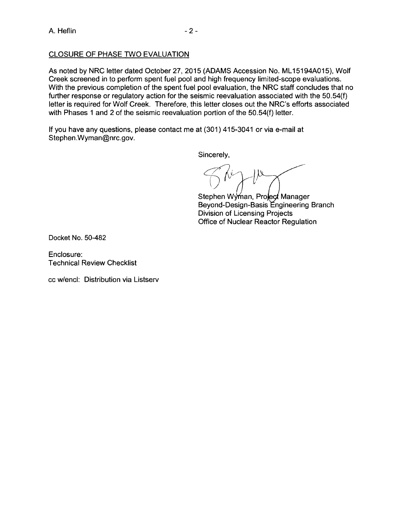# CLOSURE OF PHASE TWO EVALUATION

As noted by NRC letter dated October 27, 2015 (ADAMS Accession No. ML 15194A015), Wolf Creek screened in to perform spent fuel pool and high frequency limited-scope evaluations. With the previous completion of the spent fuel pool evaluation, the NRC staff concludes that no further response or regulatory action for the seismic reevaluation associated with the 50.54(f) letter is required for Wolf Creek. Therefore, this letter closes out the NRC's efforts associated with Phases 1 and 2 of the seismic reevaluation portion of the 50.54(f) letter.

If you have any questions, please contact me at (301) 415-3041 or via e-mail at Stephen.Wyman@nrc.gov.

Sincerely,

 $\not\in$   $\kappa$  )  $\nu$ 

Stephen Wyman, Project Manager Beyond-Design-Basis Engineering Branch Division of Licensing Projects Office of Nuclear Reactor Regulation

Docket No. 50-482

Enclosure: Technical Review Checklist

cc w/encl: Distribution via Listserv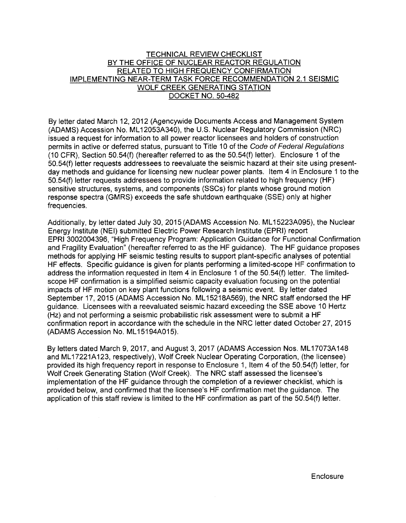### TECHNICAL REVIEW CHECKLIST BY THE OFFICE OF NUCLEAR REACTOR REGULATION RELATED TO HIGH FREQUENCY CONFIRMATION IMPLEMENTING NEAR-TERM TASK FORCE RECOMMENDATION 2.1 SEISMIC WOLF CREEK GENERATING STATION DOCKET NO. 50-482

By letter dated March 12, 2012 (Agencywide Documents Access and Management System (ADAMS) Accession No. ML 12053A340), the U.S. Nuclear Regulatory Commission (NRC) issued a request for information to all power reactor licensees and holders of construction permits in active or deferred status, pursuant to Title 10 of the Code of Federal Regulations (10 CFR), Section 50.54(f) (hereafter referred to as the 50.54(f) letter). Enclosure 1 of the 50.54(f) letter requests addressees to reevaluate the seismic hazard at their site using presentday methods and guidance for licensing new nuclear power plants. Item 4 in Enclosure 1 to the 50.54(f) letter requests addressees to provide information related to high frequency (HF) sensitive structures, systems, and components (SSCs) for plants whose ground motion response spectra (GMRS) exceeds the safe shutdown earthquake (SSE) only at higher frequencies.

Additionally, by letter dated July 30, 2015 (ADAMS Accession No. ML 15223A095), the Nuclear Energy Institute (NEI) submitted Electric Power Research Institute (EPRI) report EPRI 3002004396, "High Frequency Program: Application Guidance for Functional Confirmation and Fragility Evaluation" (hereafter referred to as the HF guidance). The HF guidance proposes methods for applying HF seismic testing results to support plant-specific analyses of potential HF effects. Specific guidance is given for plants performing a limited-scope HF confirmation to address the information requested in Item 4 in Enclosure 1 of the 50.54(f) letter. The limitedscope HF confirmation is a simplified seismic capacity evaluation focusing on the potential impacts of HF motion on key plant functions following a seismic event. By letter dated September 17, 2015 (ADAMS Accession No. ML 15218A569), the NRC staff endorsed the HF guidance. Licensees with a reevaluated seismic hazard exceeding the SSE above 10 Hertz (Hz) and not performing a seismic probabilistic risk assessment were to submit a HF confirmation report in accordance with the schedule in the NRC letter dated October 27, 2015 (ADAMS Accession No. ML 15194A015).

By letters dated March 9, 2017, and August 3, 2017 (ADAMS Accession Nos. ML17073A148 and ML17221A123, respectively), Wolf Creek Nuclear Operating Corporation, (the licensee) provided its high frequency report in response to Enclosure 1, Item 4 of the 50.54(f) letter, for Wolf Creek Generating Station (Wolf Creek). The NRC staff assessed the licensee's implementation of the HF guidance through the completion of a reviewer checklist, which is provided below, and confirmed that the licensee's HF confirmation met the guidance. The application of this staff review is limited to the HF confirmation as part of the 50.54(f) letter.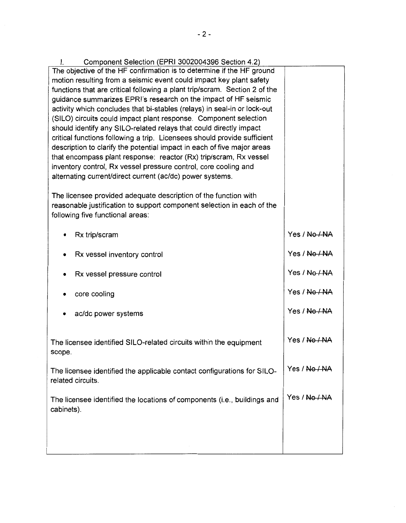| Component Selection (EPRI 3002004396 Section 4.2)<br>Ł.                                                                                           |               |  |  |  |
|---------------------------------------------------------------------------------------------------------------------------------------------------|---------------|--|--|--|
| The objective of the HF confirmation is to determine if the HF ground                                                                             |               |  |  |  |
| motion resulting from a seismic event could impact key plant safety<br>functions that are critical following a plant trip/scram. Section 2 of the |               |  |  |  |
| quidance summarizes EPRI's research on the impact of HF seismic                                                                                   |               |  |  |  |
| activity which concludes that bi-stables (relays) in seal-in or lock-out                                                                          |               |  |  |  |
| (SILO) circuits could impact plant response. Component selection                                                                                  |               |  |  |  |
| should identify any SILO-related relays that could directly impact                                                                                |               |  |  |  |
| critical functions following a trip. Licensees should provide sufficient                                                                          |               |  |  |  |
| description to clarify the potential impact in each of five major areas                                                                           |               |  |  |  |
| that encompass plant response: reactor (Rx) trip/scram, Rx vessel<br>inventory control, Rx vessel pressure control, core cooling and              |               |  |  |  |
| alternating current/direct current (ac/dc) power systems.                                                                                         |               |  |  |  |
|                                                                                                                                                   |               |  |  |  |
| The licensee provided adequate description of the function with                                                                                   |               |  |  |  |
| reasonable justification to support component selection in each of the                                                                            |               |  |  |  |
| following five functional areas:                                                                                                                  |               |  |  |  |
| Rx trip/scram                                                                                                                                     | Yes / No / NA |  |  |  |
|                                                                                                                                                   |               |  |  |  |
| Rx vessel inventory control                                                                                                                       | Yes / No / NA |  |  |  |
| Rx vessel pressure control                                                                                                                        | Yes / No / NA |  |  |  |
|                                                                                                                                                   | Yes / No / NA |  |  |  |
| core cooling                                                                                                                                      |               |  |  |  |
| ac/dc power systems                                                                                                                               | Yes / No / NA |  |  |  |
|                                                                                                                                                   |               |  |  |  |
| The licensee identified SILO-related circuits within the equipment                                                                                | Yes / No / NA |  |  |  |
| scope.                                                                                                                                            |               |  |  |  |
|                                                                                                                                                   |               |  |  |  |
| The licensee identified the applicable contact configurations for SILO-                                                                           | Yes / No / NA |  |  |  |
| related circuits.                                                                                                                                 |               |  |  |  |
| The licensee identified the locations of components (i.e., buildings and                                                                          | Yes / No / NA |  |  |  |
| cabinets).                                                                                                                                        |               |  |  |  |
|                                                                                                                                                   |               |  |  |  |
|                                                                                                                                                   |               |  |  |  |
|                                                                                                                                                   |               |  |  |  |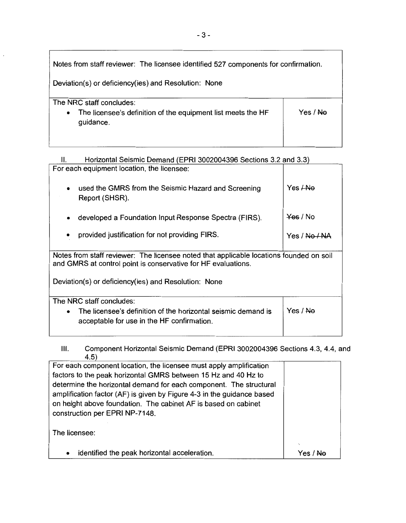| Notes from staff reviewer: The licensee identified 527 components for confirmation.                                |          |  |
|--------------------------------------------------------------------------------------------------------------------|----------|--|
| Deviation(s) or deficiency(ies) and Resolution: None                                                               |          |  |
| The NRC staff concludes:<br>The licensee's definition of the equipment list meets the HF<br>$\bullet$<br>guidance. | Yes / Ne |  |

| Horizontal Seismic Demand (EPRI 3002004396 Sections 3.2 and 3.3)<br>Ш.                                                                                   |                          |  |
|----------------------------------------------------------------------------------------------------------------------------------------------------------|--------------------------|--|
| For each equipment location, the licensee:                                                                                                               |                          |  |
| used the GMRS from the Seismic Hazard and Screening<br>Report (SHSR).                                                                                    | Yes <del>/No</del>       |  |
| developed a Foundation Input Response Spectra (FIRS).                                                                                                    | <del>Yes</del> / No      |  |
| provided justification for not providing FIRS.                                                                                                           | Yes / <del>No / N/</del> |  |
| Notes from staff reviewer: The licensee noted that applicable locations founded on soil<br>and GMRS at control point is conservative for HF evaluations. |                          |  |
| Deviation(s) or deficiency(ies) and Resolution: None                                                                                                     |                          |  |
| The NRC staff concludes:<br>The licensee's definition of the horizontal seismic demand is<br>acceptable for use in the HF confirmation.                  | Yes / No                 |  |

Ill. Component Horizontal Seismic Demand (EPRI 3002004396 Sections 4.3, 4.4, and 4.5)

| For each component location, the licensee must apply amplification     |     |
|------------------------------------------------------------------------|-----|
| factors to the peak horizontal GMRS between 15 Hz and 40 Hz to         |     |
| determine the horizontal demand for each component. The structural     |     |
| amplification factor (AF) is given by Figure 4-3 in the guidance based |     |
| on height above foundation. The cabinet AF is based on cabinet         |     |
| construction per EPRI NP-7148.                                         |     |
|                                                                        |     |
| The licensee:                                                          |     |
|                                                                        |     |
| identified the peak horizontal acceleration.<br>$\bullet$              | Yes |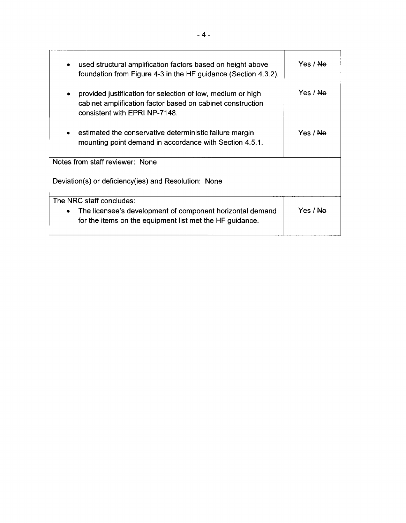| used structural amplification factors based on height above<br>$\bullet$<br>foundation from Figure 4-3 in the HF guidance (Section 4.3.2).                      | Yes / <del>No</del> |
|-----------------------------------------------------------------------------------------------------------------------------------------------------------------|---------------------|
| provided justification for selection of low, medium or high<br>٠<br>cabinet amplification factor based on cabinet construction<br>consistent with EPRI NP-7148. | Yes / Ne            |
| estimated the conservative deterministic failure margin<br>$\bullet$<br>mounting point demand in accordance with Section 4.5.1.                                 | Yes / <del>No</del> |
| Notes from staff reviewer: None                                                                                                                                 |                     |
| Deviation(s) or deficiency(ies) and Resolution: None                                                                                                            |                     |
| The NRC staff concludes:                                                                                                                                        |                     |
| The licensee's development of component horizontal demand<br>٠<br>for the items on the equipment list met the HF guidance.                                      | Yes / <del>No</del> |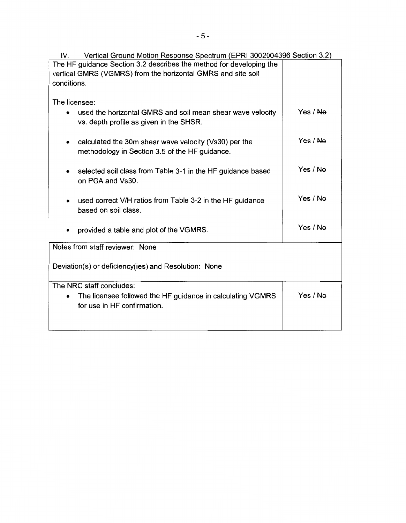| Vertical Ground Motion Response Spectrum (EPRI 3002004396 Section 3.2)<br>IV. |          |  |  |  |  |
|-------------------------------------------------------------------------------|----------|--|--|--|--|
| The HF guidance Section 3.2 describes the method for developing the           |          |  |  |  |  |
| vertical GMRS (VGMRS) from the horizontal GMRS and site soil                  |          |  |  |  |  |
| conditions.                                                                   |          |  |  |  |  |
|                                                                               |          |  |  |  |  |
| The licensee:                                                                 |          |  |  |  |  |
| used the horizontal GMRS and soil mean shear wave velocity                    | Yes / No |  |  |  |  |
| vs. depth profile as given in the SHSR.                                       |          |  |  |  |  |
|                                                                               |          |  |  |  |  |
| calculated the 30m shear wave velocity (Vs30) per the<br>٠                    | Yes / Ne |  |  |  |  |
| methodology in Section 3.5 of the HF guidance.                                |          |  |  |  |  |
|                                                                               |          |  |  |  |  |
|                                                                               | Yes / Ne |  |  |  |  |
| selected soil class from Table 3-1 in the HF guidance based                   |          |  |  |  |  |
| on PGA and Vs30.                                                              |          |  |  |  |  |
|                                                                               |          |  |  |  |  |
| used correct V/H ratios from Table 3-2 in the HF guidance                     | Yes / No |  |  |  |  |
| based on soil class.                                                          |          |  |  |  |  |
|                                                                               |          |  |  |  |  |
| provided a table and plot of the VGMRS.                                       | Yes / No |  |  |  |  |
|                                                                               |          |  |  |  |  |
| Notes from staff reviewer: None                                               |          |  |  |  |  |
|                                                                               |          |  |  |  |  |
| Deviation(s) or deficiency(ies) and Resolution: None                          |          |  |  |  |  |
|                                                                               |          |  |  |  |  |
| The NRC staff concludes:                                                      |          |  |  |  |  |
| The licensee followed the HF guidance in calculating VGMRS<br>$\bullet$       | Yes / Ne |  |  |  |  |
| for use in HF confirmation.                                                   |          |  |  |  |  |
|                                                                               |          |  |  |  |  |
|                                                                               |          |  |  |  |  |
|                                                                               |          |  |  |  |  |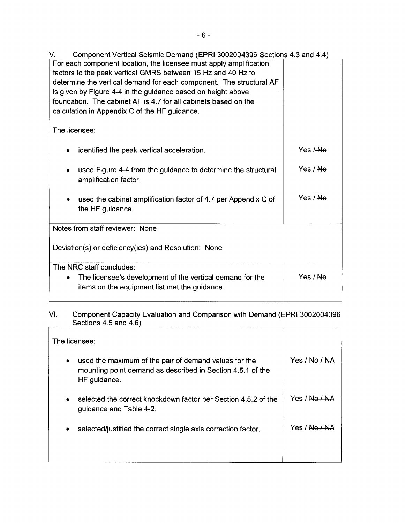V. Component Vertical Seismic Demand (EPRI 3002004396 Sections 4.3 and 4.4) For each component location, the licensee must apply amplification factors to the peak vertical GMRS between 15 Hz and 40 Hz to determine the vertical demand for each component. The structural AF is given by Figure 4-4 in the guidance based on height above foundation. The cabinet AF is 4.7 for all cabinets based on the calculation in Appendix C of the HF guidance. The licensee: • identified the peak vertical acceleration. used Figure 4-4 from the guidance to determine the structural amplification factor. used the cabinet amplification factor of 4.7 per Appendix C of the HF guidance. Notes from staff reviewer: None Deviation(s) or deficiency(ies) and Resolution: None The NRC staff concludes: • The licensee's development of the vertical demand for the Yes /-No Yes / Ne Yes/ Ne Yes/ Ne

# items on the equipment list met the guidance.

# VI. Component Capacity Evaluation and Comparison with Demand (EPRI 3002004396 Sections 4.5 and 4.6)

| The licensee:                                                                                                                                    |                         |
|--------------------------------------------------------------------------------------------------------------------------------------------------|-------------------------|
| used the maximum of the pair of demand values for the<br>$\bullet$<br>mounting point demand as described in Section 4.5.1 of the<br>HF guidance. | Yes / <del>No / A</del> |
| selected the correct knockdown factor per Section 4.5.2 of the<br>$\bullet$<br>guidance and Table 4-2.                                           | Yes / No                |
| selected/justified the correct single axis correction factor.<br>$\bullet$                                                                       | Yes / N                 |
|                                                                                                                                                  |                         |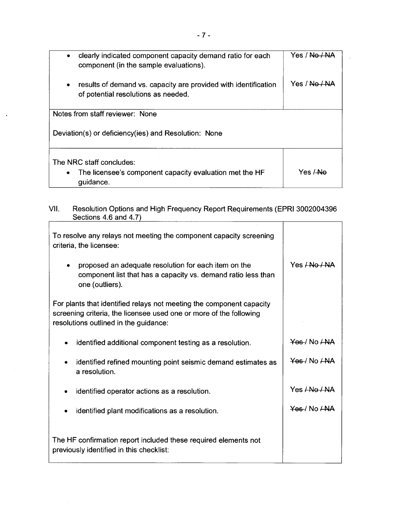| clearly indicated component capacity demand ratio for each<br>component (in the sample evaluations).                | Yes / No / NA |  |  |
|---------------------------------------------------------------------------------------------------------------------|---------------|--|--|
| results of demand vs. capacity are provided with identification<br>$\bullet$<br>of potential resolutions as needed. | Yes / No / NA |  |  |
| Notes from staff reviewer: None                                                                                     |               |  |  |
| Deviation(s) or deficiency(ies) and Resolution: None                                                                |               |  |  |
| The NRC staff concludes:<br>The licensee's component capacity evaluation met the HF<br>$\bullet$<br>guidance.       | Yes / Ne      |  |  |

#### VII. Resolution Options and High Frequency Report Requirements (EPRI 3002004396 Sections 4.6 and 4.7) ┯  $\overline{\mathcal{L}}$

| To resolve any relays not meeting the component capacity screening<br>criteria, the licensee:                                                                                       |                            |
|-------------------------------------------------------------------------------------------------------------------------------------------------------------------------------------|----------------------------|
| proposed an adequate resolution for each item on the<br>٠<br>component list that has a capacity vs. demand ratio less than<br>one (outliers).                                       | Yes <del>/ No / NA</del>   |
| For plants that identified relays not meeting the component capacity<br>screening criteria, the licensee used one or more of the following<br>resolutions outlined in the guidance: |                            |
| identified additional component testing as a resolution.<br>٠                                                                                                                       | Yes / No LNA               |
| identified refined mounting point seismic demand estimates as<br>٠<br>a resolution.                                                                                                 | Yes / No <i><b>LNA</b></i> |
| identified operator actions as a resolution.<br>٠                                                                                                                                   | Yes <del>/No / NA</del>    |
| identified plant modifications as a resolution.<br>٠                                                                                                                                | $YAB/N0/MA$                |
| The HF confirmation report included these required elements not<br>previously identified in this checklist:                                                                         |                            |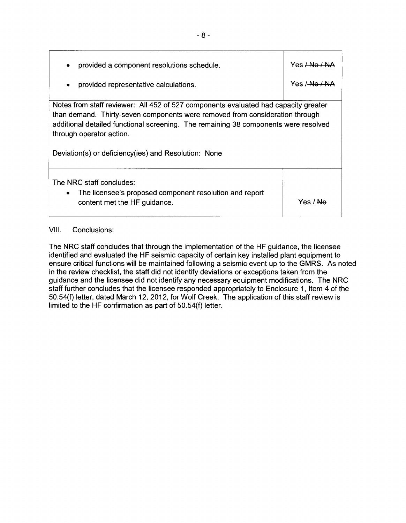| provided a component resolutions schedule.<br>٠                                                                                                                                                                                                                                                                                                | Yes <del>LNo / NA</del> |
|------------------------------------------------------------------------------------------------------------------------------------------------------------------------------------------------------------------------------------------------------------------------------------------------------------------------------------------------|-------------------------|
| provided representative calculations.<br>$\bullet$                                                                                                                                                                                                                                                                                             | Yes /-No /-NA           |
| Notes from staff reviewer: All 452 of 527 components evaluated had capacity greater<br>than demand. Thirty-seven components were removed from consideration through<br>additional detailed functional screening. The remaining 38 components were resolved<br>through operator action.<br>Deviation(s) or deficiency(ies) and Resolution: None |                         |
| The NRC staff concludes:<br>The licensee's proposed component resolution and report<br>$\bullet$<br>content met the HF guidance.                                                                                                                                                                                                               | Yes / Ne                |

# VIII. Conclusions:

The NRC staff concludes that through the implementation of the HF guidance, the licensee identified and evaluated the HF seismic capacity of certain key installed plant equipment to ensure critical functions will be maintained following a seismic event up to the GMRS. As noted in the review checklist, the staff did not identify deviations or exceptions taken from the guidance and the licensee did not identify any necessary equipment modifications. The NRC staff further concludes that the licensee responded appropriately to Enclosure 1, Item 4 of the 50.54(f) letter, dated March 12, 2012, for Wolf Creek. The application of this staff review is limited to the HF confirmation as part of 50.54(f) letter.